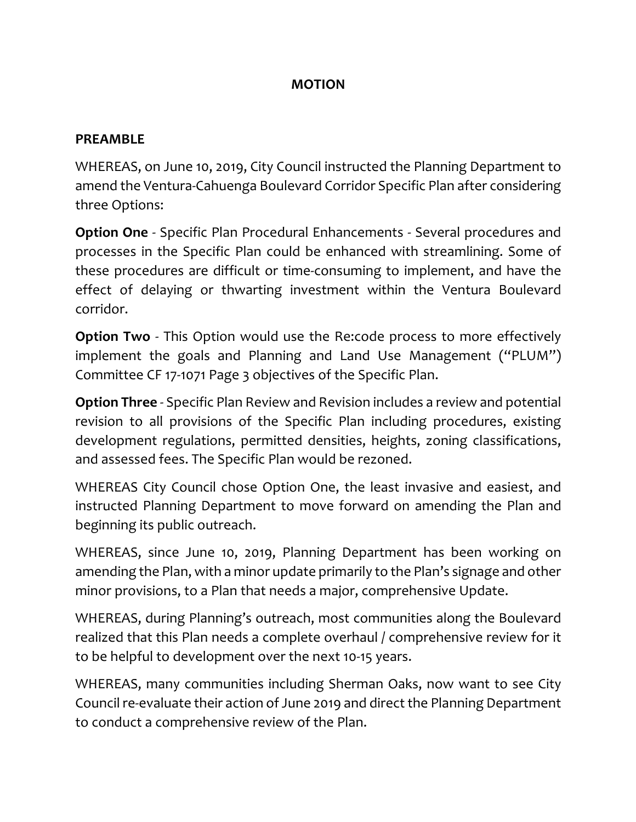## **MOTION**

## **PREAMBLE**

WHEREAS, on June 10, 2019, City Council instructed the Planning Department to amend the Ventura-Cahuenga Boulevard Corridor Specific Plan after considering three Options:

**Option One** - Specific Plan Procedural Enhancements - Several procedures and processes in the Specific Plan could be enhanced with streamlining. Some of these procedures are difficult or time-consuming to implement, and have the effect of delaying or thwarting investment within the Ventura Boulevard corridor.

**Option Two** - This Option would use the Re:code process to more effectively implement the goals and Planning and Land Use Management ("PLUM") Committee CF 17-1071 Page 3 objectives of the Specific Plan.

**Option Three** - Specific Plan Review and Revision includes a review and potential revision to all provisions of the Specific Plan including procedures, existing development regulations, permitted densities, heights, zoning classifications, and assessed fees. The Specific Plan would be rezoned.

WHEREAS City Council chose Option One, the least invasive and easiest, and instructed Planning Department to move forward on amending the Plan and beginning its public outreach.

WHEREAS, since June 10, 2019, Planning Department has been working on amending the Plan, with a minor update primarily to the Plan's signage and other minor provisions, to a Plan that needs a major, comprehensive Update.

WHEREAS, during Planning's outreach, most communities along the Boulevard realized that this Plan needs a complete overhaul / comprehensive review for it to be helpful to development over the next 10-15 years.

WHEREAS, many communities including Sherman Oaks, now want to see City Council re-evaluate their action of June 2019 and direct the Planning Department to conduct a comprehensive review of the Plan.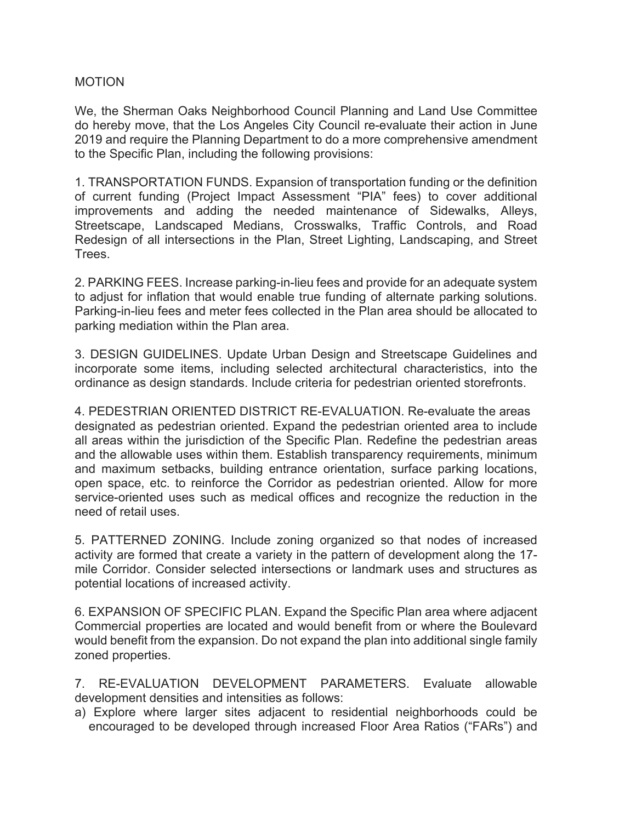## MOTION

We, the Sherman Oaks Neighborhood Council Planning and Land Use Committee do hereby move, that the Los Angeles City Council re-evaluate their action in June 2019 and require the Planning Department to do a more comprehensive amendment to the Specific Plan, including the following provisions:

1. TRANSPORTATION FUNDS. Expansion of transportation funding or the definition of current funding (Project Impact Assessment "PIA" fees) to cover additional improvements and adding the needed maintenance of Sidewalks, Alleys, Streetscape, Landscaped Medians, Crosswalks, Traffic Controls, and Road Redesign of all intersections in the Plan, Street Lighting, Landscaping, and Street Trees.

2. PARKING FEES. Increase parking-in-lieu fees and provide for an adequate system to adjust for inflation that would enable true funding of alternate parking solutions. Parking-in-lieu fees and meter fees collected in the Plan area should be allocated to parking mediation within the Plan area.

3. DESIGN GUIDELINES. Update Urban Design and Streetscape Guidelines and incorporate some items, including selected architectural characteristics, into the ordinance as design standards. Include criteria for pedestrian oriented storefronts.

4. PEDESTRIAN ORIENTED DISTRICT RE-EVALUATION. Re-evaluate the areas designated as pedestrian oriented. Expand the pedestrian oriented area to include all areas within the jurisdiction of the Specific Plan. Redefine the pedestrian areas and the allowable uses within them. Establish transparency requirements, minimum and maximum setbacks, building entrance orientation, surface parking locations, open space, etc. to reinforce the Corridor as pedestrian oriented. Allow for more service-oriented uses such as medical offices and recognize the reduction in the need of retail uses.

5. PATTERNED ZONING. Include zoning organized so that nodes of increased activity are formed that create a variety in the pattern of development along the 17 mile Corridor. Consider selected intersections or landmark uses and structures as potential locations of increased activity.

6. EXPANSION OF SPECIFIC PLAN. Expand the Specific Plan area where adjacent Commercial properties are located and would benefit from or where the Boulevard would benefit from the expansion. Do not expand the plan into additional single family zoned properties.

7. RE-EVALUATION DEVELOPMENT PARAMETERS. Evaluate allowable development densities and intensities as follows:

a) Explore where larger sites adjacent to residential neighborhoods could be encouraged to be developed through increased Floor Area Ratios ("FARs") and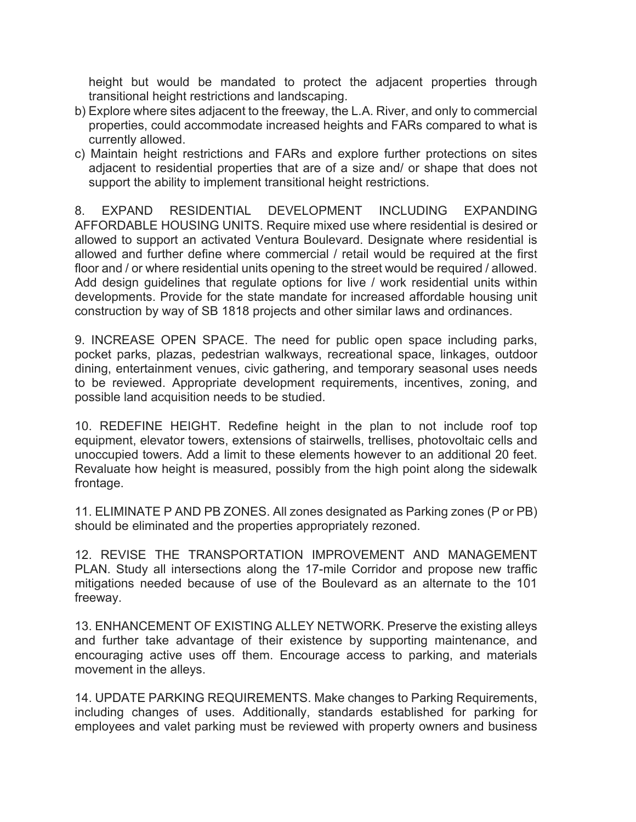height but would be mandated to protect the adjacent properties through transitional height restrictions and landscaping.

- b) Explore where sites adjacent to the freeway, the L.A. River, and only to commercial properties, could accommodate increased heights and FARs compared to what is currently allowed.
- c) Maintain height restrictions and FARs and explore further protections on sites adjacent to residential properties that are of a size and/ or shape that does not support the ability to implement transitional height restrictions.

8. EXPAND RESIDENTIAL DEVELOPMENT INCLUDING EXPANDING AFFORDABLE HOUSING UNITS. Require mixed use where residential is desired or allowed to support an activated Ventura Boulevard. Designate where residential is allowed and further define where commercial / retail would be required at the first floor and / or where residential units opening to the street would be required / allowed. Add design guidelines that regulate options for live / work residential units within developments. Provide for the state mandate for increased affordable housing unit construction by way of SB 1818 projects and other similar laws and ordinances.

9. INCREASE OPEN SPACE. The need for public open space including parks, pocket parks, plazas, pedestrian walkways, recreational space, linkages, outdoor dining, entertainment venues, civic gathering, and temporary seasonal uses needs to be reviewed. Appropriate development requirements, incentives, zoning, and possible land acquisition needs to be studied.

10. REDEFINE HEIGHT. Redefine height in the plan to not include roof top equipment, elevator towers, extensions of stairwells, trellises, photovoltaic cells and unoccupied towers. Add a limit to these elements however to an additional 20 feet. Revaluate how height is measured, possibly from the high point along the sidewalk frontage.

11. ELIMINATE P AND PB ZONES. All zones designated as Parking zones (P or PB) should be eliminated and the properties appropriately rezoned.

12. REVISE THE TRANSPORTATION IMPROVEMENT AND MANAGEMENT PLAN. Study all intersections along the 17-mile Corridor and propose new traffic mitigations needed because of use of the Boulevard as an alternate to the 101 freeway.

13. ENHANCEMENT OF EXISTING ALLEY NETWORK. Preserve the existing alleys and further take advantage of their existence by supporting maintenance, and encouraging active uses off them. Encourage access to parking, and materials movement in the alleys.

14. UPDATE PARKING REQUIREMENTS. Make changes to Parking Requirements, including changes of uses. Additionally, standards established for parking for employees and valet parking must be reviewed with property owners and business